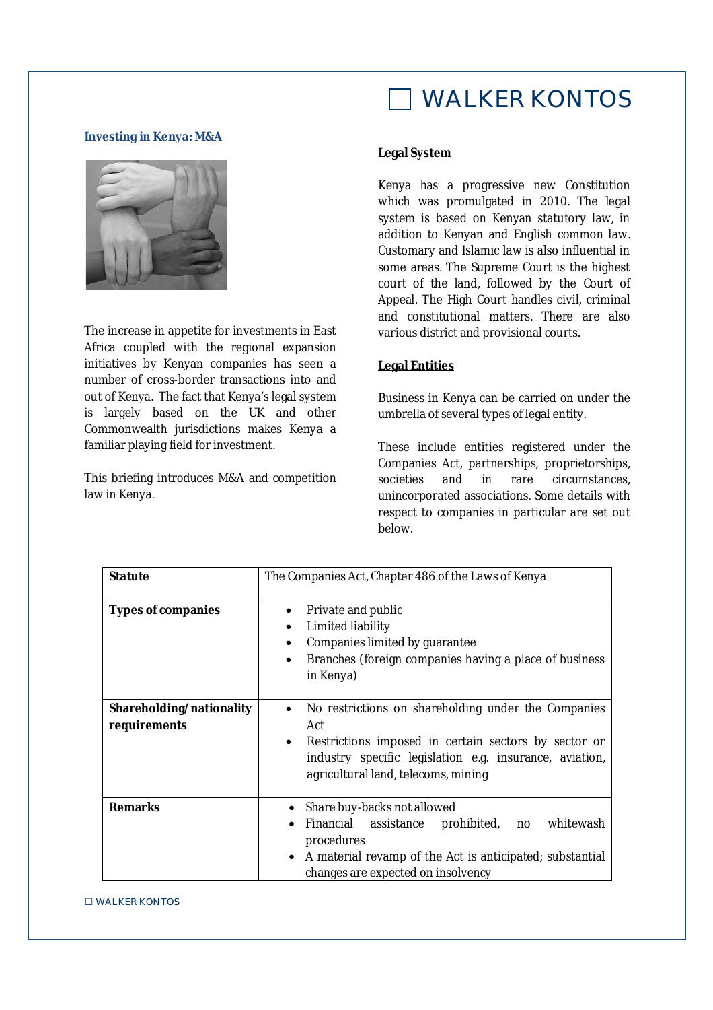# WALKER KONTOS

#### **Investing in Kenya: M&A**



The increase in appetite for investments in East Africa coupled with the regional expansion initiatives by Kenyan companies has seen a number of cross-border transactions into and out of Kenya. The fact that Kenya's legal system is largely based on the UK and other Commonwealth jurisdictions makes Kenya a familiar playing field for investment.

This briefing introduces M&A and competition law in Kenya.

# **Legal System**

Kenya has a progressive new Constitution which was promulgated in 2010. The legal system is based on Kenyan statutory law, in addition to Kenyan and English common law. Customary and Islamic law is also influential in some areas. The Supreme Court is the highest court of the land, followed by the Court of Appeal. The High Court handles civil, criminal and constitutional matters. There are also various district and provisional courts.

## **Legal Entities**

Business in Kenya can be carried on under the umbrella of several types of legal entity.

These include entities registered under the Companies Act, partnerships, proprietorships, societies and in rare circumstances. unincorporated associations. Some details with respect to companies in particular are set out below.

| <b>Statute</b>                           | The Companies Act, Chapter 486 of the Laws of Kenya                                                                                                                                                                                    |
|------------------------------------------|----------------------------------------------------------------------------------------------------------------------------------------------------------------------------------------------------------------------------------------|
| <b>Types of companies</b>                | Private and public<br>$\bullet$<br>Limited liability<br>$\bullet$<br>Companies limited by guarantee<br>$\bullet$<br>Branches (foreign companies having a place of business<br>$\bullet$<br>in Kenya)                                   |
| Shareholding/nationality<br>requirements | No restrictions on shareholding under the Companies<br>٠<br>Act<br>Restrictions imposed in certain sectors by sector or<br>$\bullet$<br>industry specific legislation e.g. insurance, aviation,<br>agricultural land, telecoms, mining |
| <b>Remarks</b>                           | Share buy-backs not allowed<br>Financial assistance<br>prohibited, no whitewash<br>procedures<br>A material revamp of the Act is anticipated; substantial<br>changes are expected on insolvency                                        |

□ WALKER KONTOS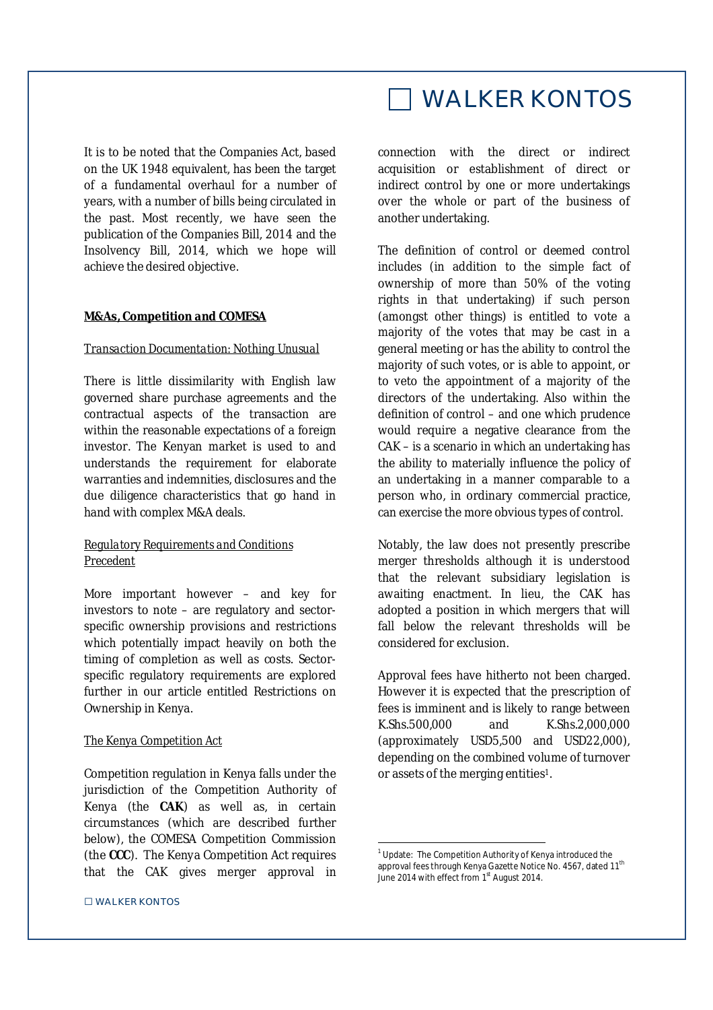It is to be noted that the Companies Act, based on the UK 1948 equivalent, has been the target of a fundamental overhaul for a number of years, with a number of bills being circulated in the past. Most recently, we have seen the publication of the Companies Bill, 2014 and the Insolvency Bill, 2014, which we hope will achieve the desired objective.

#### **M&As, Competition and COMESA**

#### *Transaction Documentation: Nothing Unusual*

There is little dissimilarity with English law governed share purchase agreements and the contractual aspects of the transaction are within the reasonable expectations of a foreign investor. The Kenyan market is used to and understands the requirement for elaborate warranties and indemnities, disclosures and the due diligence characteristics that go hand in hand with complex M&A deals.

### *Regulatory Requirements and Conditions Precedent*

More important however – and key for investors to note – are regulatory and sectorspecific ownership provisions and restrictions which potentially impact heavily on both the timing of completion as well as costs. Sectorspecific regulatory requirements are explored further in our article entitled Restrictions on Ownership in Kenya.

### *The Kenya Competition Act*

Competition regulation in Kenya falls under the jurisdiction of the Competition Authority of Kenya (the **CAK**) as well as, in certain circumstances (which are described further below), the COMESA Competition Commission (the **CCC**). The Kenya Competition Act requires that the CAK gives merger approval in

#### □ WALKER KONTOS

# WALKER KONTOS

connection with the direct or indirect acquisition or establishment of direct or indirect control by one or more undertakings over the whole or part of the business of another undertaking.

The definition of control or deemed control includes (in addition to the simple fact of ownership of more than 50% of the voting rights in that undertaking) if such person (amongst other things) is entitled to vote a majority of the votes that may be cast in a general meeting or has the ability to control the majority of such votes, or is able to appoint, or to veto the appointment of a majority of the directors of the undertaking. Also within the definition of control – and one which prudence would require a negative clearance from the CAK – is a scenario in which an undertaking has the ability to materially influence the policy of an undertaking in a manner comparable to a person who, in ordinary commercial practice, can exercise the more obvious types of control.

Notably, the law does not presently prescribe merger thresholds although it is understood that the relevant subsidiary legislation is awaiting enactment. In lieu, the CAK has adopted a position in which mergers that will fall below the relevant thresholds will be considered for exclusion.

Approval fees have hitherto not been charged. However it is expected that the prescription of fees is imminent and is likely to range between K.Shs.500,000 and K.Shs.2,000,000 (approximately USD5,500 and USD22,000), depending on the combined volume of turnover or assets of the merging entities1.

 $\overline{\phantom{a}}$ 

<sup>&</sup>lt;sup>1</sup> Update: The Competition Authority of Kenya introduced the approval fees through Kenya Gazette Notice No. 4567, dated 11<sup>th</sup> June 2014 with effect from  $1<sup>st</sup>$  August 2014.